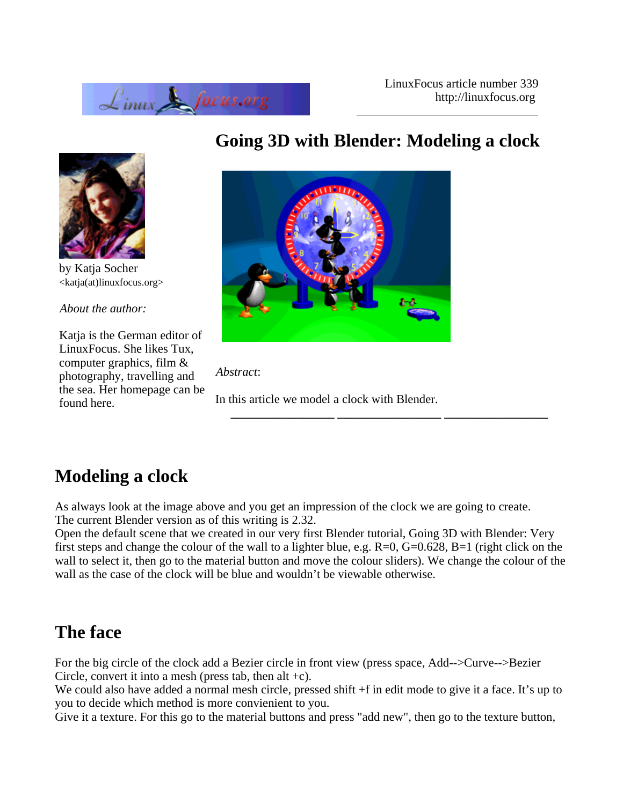



by Katja Socher <katja(at)linuxfocus.org>

*About the author:*

Katja is the German editor of LinuxFocus. She likes Tux, computer graphics, film & photography, travelling and the sea. Her homepage can be found here.

# **Going 3D with Blender: Modeling a clock**



*Abstract*:

In this article we model a clock with Blender.

**\_\_\_\_\_\_\_\_\_\_\_\_\_\_\_\_\_ \_\_\_\_\_\_\_\_\_\_\_\_\_\_\_\_\_ \_\_\_\_\_\_\_\_\_\_\_\_\_\_\_\_\_**

# **Modeling a clock**

As always look at the image above and you get an impression of the clock we are going to create. The current Blender version as of this writing is 2.32.

Open the default scene that we created in our very first Blender tutorial, Going 3D with Blender: Very first steps and change the colour of the wall to a lighter blue, e.g.  $R=0$ ,  $G=0.628$ ,  $B=1$  (right click on the wall to select it, then go to the material button and move the colour sliders). We change the colour of the wall as the case of the clock will be blue and wouldn't be viewable otherwise.

### **The face**

For the big circle of the clock add a Bezier circle in front view (press space, Add-->Curve-->Bezier Circle, convert it into a mesh (press tab, then alt  $+c$ ).

We could also have added a normal mesh circle, pressed shift  $+f$  in edit mode to give it a face. It's up to you to decide which method is more convienient to you.

Give it a texture. For this go to the material buttons and press "add new", then go to the texture button,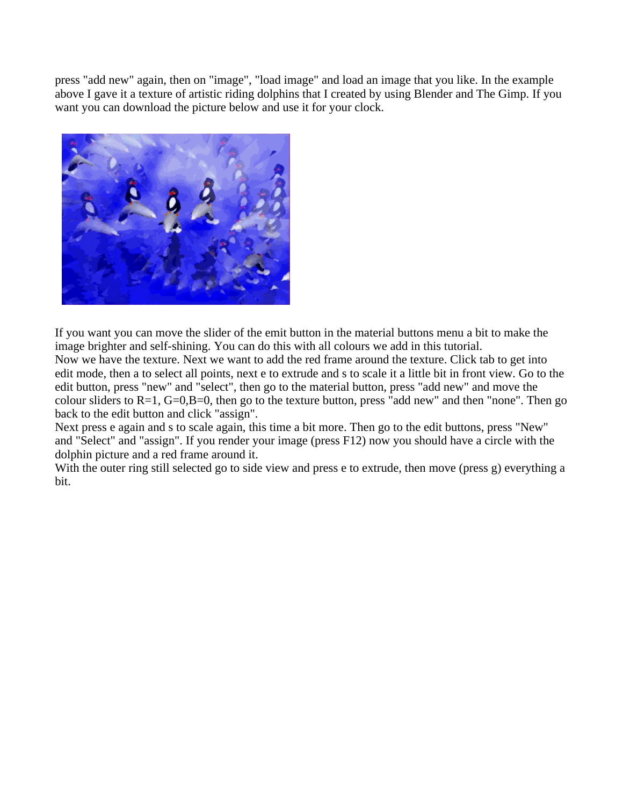press "add new" again, then on "image", "load image" and load an image that you like. In the example above I gave it a texture of artistic riding dolphins that I created by using Blender and The Gimp. If you want you can download the picture below and use it for your clock.



If you want you can move the slider of the emit button in the material buttons menu a bit to make the image brighter and self-shining. You can do this with all colours we add in this tutorial. Now we have the texture. Next we want to add the red frame around the texture. Click tab to get into edit mode, then a to select all points, next e to extrude and s to scale it a little bit in front view. Go to the edit button, press "new" and "select", then go to the material button, press "add new" and move the colour sliders to  $R=1$ ,  $G=0$ ,  $B=0$ , then go to the texture button, press "add new" and then "none". Then go back to the edit button and click "assign".

Next press e again and s to scale again, this time a bit more. Then go to the edit buttons, press "New" and "Select" and "assign". If you render your image (press F12) now you should have a circle with the dolphin picture and a red frame around it.

With the outer ring still selected go to side view and press e to extrude, then move (press g) everything a bit.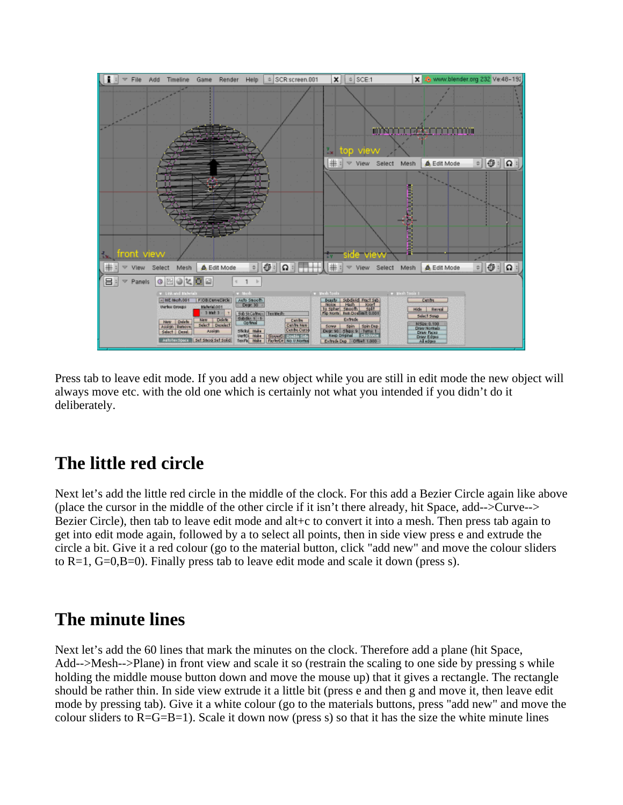

Press tab to leave edit mode. If you add a new object while you are still in edit mode the new object will always move etc. with the old one which is certainly not what you intended if you didn't do it deliberately.

### **The little red circle**

Next let's add the little red circle in the middle of the clock. For this add a Bezier Circle again like above (place the cursor in the middle of the other circle if it isn't there already, hit Space, add-->Curve--> Bezier Circle), then tab to leave edit mode and alt+c to convert it into a mesh. Then press tab again to get into edit mode again, followed by a to select all points, then in side view press e and extrude the circle a bit. Give it a red colour (go to the material button, click "add new" and move the colour sliders to R=1, G=0,B=0). Finally press tab to leave edit mode and scale it down (press s).

#### **The minute lines**

Next let's add the 60 lines that mark the minutes on the clock. Therefore add a plane (hit Space, Add-->Mesh-->Plane) in front view and scale it so (restrain the scaling to one side by pressing s while holding the middle mouse button down and move the mouse up) that it gives a rectangle. The rectangle should be rather thin. In side view extrude it a little bit (press e and then g and move it, then leave edit mode by pressing tab). Give it a white colour (go to the materials buttons, press "add new" and move the colour sliders to  $R = G = B = 1$ ). Scale it down now (press s) so that it has the size the white minute lines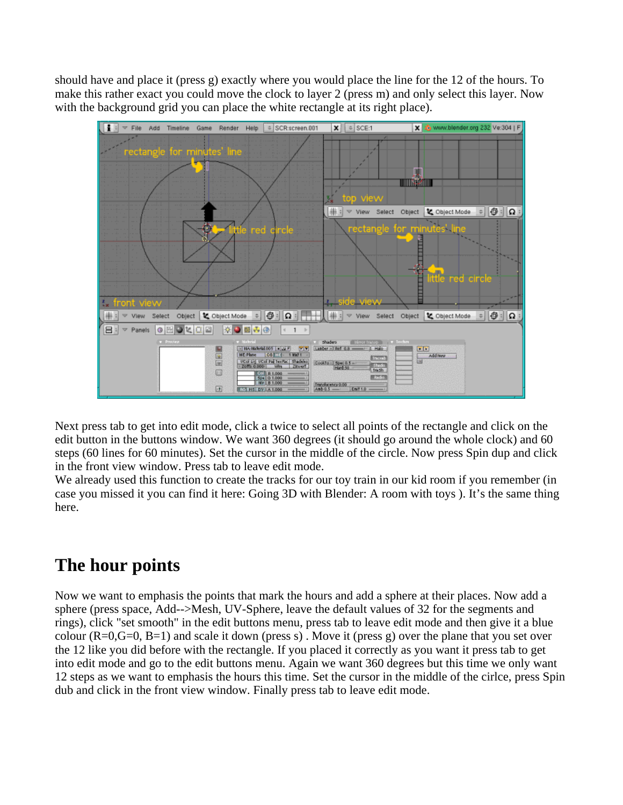should have and place it (press g) exactly where you would place the line for the 12 of the hours. To make this rather exact you could move the clock to layer 2 (press m) and only select this layer. Now with the background grid you can place the white rectangle at its right place).



Next press tab to get into edit mode, click a twice to select all points of the rectangle and click on the edit button in the buttons window. We want 360 degrees (it should go around the whole clock) and 60 steps (60 lines for 60 minutes). Set the cursor in the middle of the circle. Now press Spin dup and click in the front view window. Press tab to leave edit mode.

We already used this function to create the tracks for our toy train in our kid room if you remember (in case you missed it you can find it here: Going 3D with Blender: A room with toys ). It's the same thing here.

# **The hour points**

Now we want to emphasis the points that mark the hours and add a sphere at their places. Now add a sphere (press space, Add-->Mesh, UV-Sphere, leave the default values of 32 for the segments and rings), click "set smooth" in the edit buttons menu, press tab to leave edit mode and then give it a blue colour  $(R=0, G=0, B=1)$  and scale it down (press s). Move it (press g) over the plane that you set over the 12 like you did before with the rectangle. If you placed it correctly as you want it press tab to get into edit mode and go to the edit buttons menu. Again we want 360 degrees but this time we only want 12 steps as we want to emphasis the hours this time. Set the cursor in the middle of the cirlce, press Spin dub and click in the front view window. Finally press tab to leave edit mode.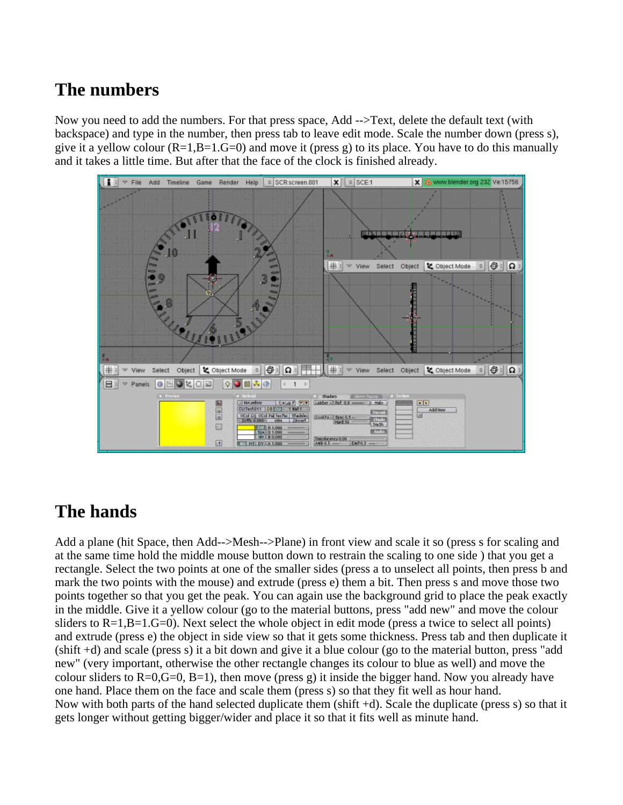### **The numbers**

Now you need to add the numbers. For that press space, Add -->Text, delete the default text (with backspace) and type in the number, then press tab to leave edit mode. Scale the number down (press s), give it a yellow colour  $(R=1,B=1,G=0)$  and move it (press g) to its place. You have to do this manually and it takes a little time. But after that the face of the clock is finished already.



#### **The hands**

Add a plane (hit Space, then Add-->Mesh-->Plane) in front view and scale it so (press s for scaling and at the same time hold the middle mouse button down to restrain the scaling to one side ) that you get a rectangle. Select the two points at one of the smaller sides (press a to unselect all points, then press b and mark the two points with the mouse) and extrude (press e) them a bit. Then press s and move those two points together so that you get the peak. You can again use the background grid to place the peak exactly in the middle. Give it a yellow colour (go to the material buttons, press "add new" and move the colour sliders to  $R=1, B=1, G=0$ ). Next select the whole object in edit mode (press a twice to select all points) and extrude (press e) the object in side view so that it gets some thickness. Press tab and then duplicate it (shift +d) and scale (press s) it a bit down and give it a blue colour (go to the material button, press "add new" (very important, otherwise the other rectangle changes its colour to blue as well) and move the colour sliders to  $R=0$ ,  $G=0$ ,  $B=1$ ), then move (press g) it inside the bigger hand. Now you already have one hand. Place them on the face and scale them (press s) so that they fit well as hour hand. Now with both parts of the hand selected duplicate them (shift +d). Scale the duplicate (press s) so that it gets longer without getting bigger/wider and place it so that it fits well as minute hand.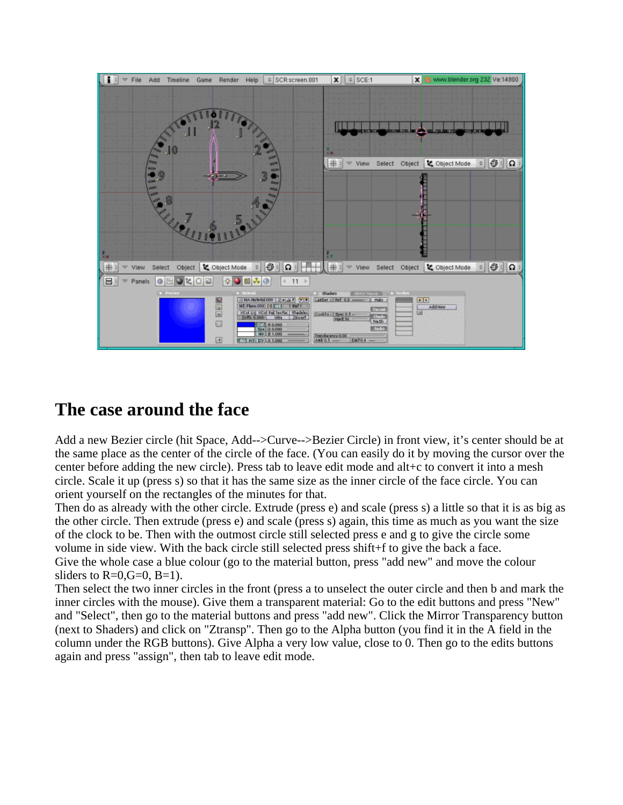

#### **The case around the face**

Add a new Bezier circle (hit Space, Add-->Curve-->Bezier Circle) in front view, it's center should be at the same place as the center of the circle of the face. (You can easily do it by moving the cursor over the center before adding the new circle). Press tab to leave edit mode and alt+c to convert it into a mesh circle. Scale it up (press s) so that it has the same size as the inner circle of the face circle. You can orient yourself on the rectangles of the minutes for that.

Then do as already with the other circle. Extrude (press e) and scale (press s) a little so that it is as big as the other circle. Then extrude (press e) and scale (press s) again, this time as much as you want the size of the clock to be. Then with the outmost circle still selected press e and g to give the circle some volume in side view. With the back circle still selected press shift+f to give the back a face. Give the whole case a blue colour (go to the material button, press "add new" and move the colour sliders to  $R=0$ ,  $G=0$ ,  $B=1$ ).

Then select the two inner circles in the front (press a to unselect the outer circle and then b and mark the inner circles with the mouse). Give them a transparent material: Go to the edit buttons and press "New" and "Select", then go to the material buttons and press "add new". Click the Mirror Transparency button (next to Shaders) and click on "Ztransp". Then go to the Alpha button (you find it in the A field in the column under the RGB buttons). Give Alpha a very low value, close to 0. Then go to the edits buttons again and press "assign", then tab to leave edit mode.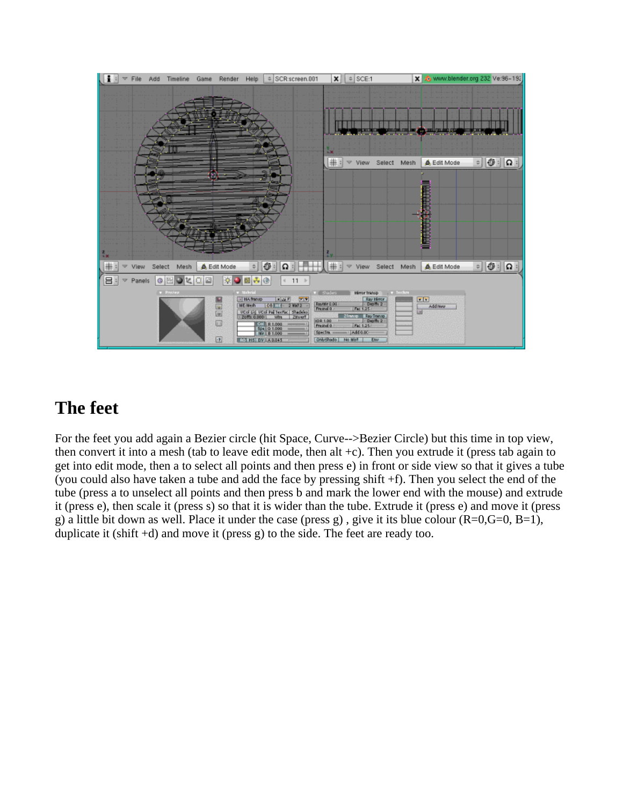

### **The feet**

For the feet you add again a Bezier circle (hit Space, Curve-->Bezier Circle) but this time in top view, then convert it into a mesh (tab to leave edit mode, then alt  $+c$ ). Then you extrude it (press tab again to get into edit mode, then a to select all points and then press e) in front or side view so that it gives a tube (you could also have taken a tube and add the face by pressing shift +f). Then you select the end of the tube (press a to unselect all points and then press b and mark the lower end with the mouse) and extrude it (press e), then scale it (press s) so that it is wider than the tube. Extrude it (press e) and move it (press g) a little bit down as well. Place it under the case (press g), give it its blue colour  $(R=0, G=0, B=1)$ , duplicate it (shift  $+d$ ) and move it (press g) to the side. The feet are ready too.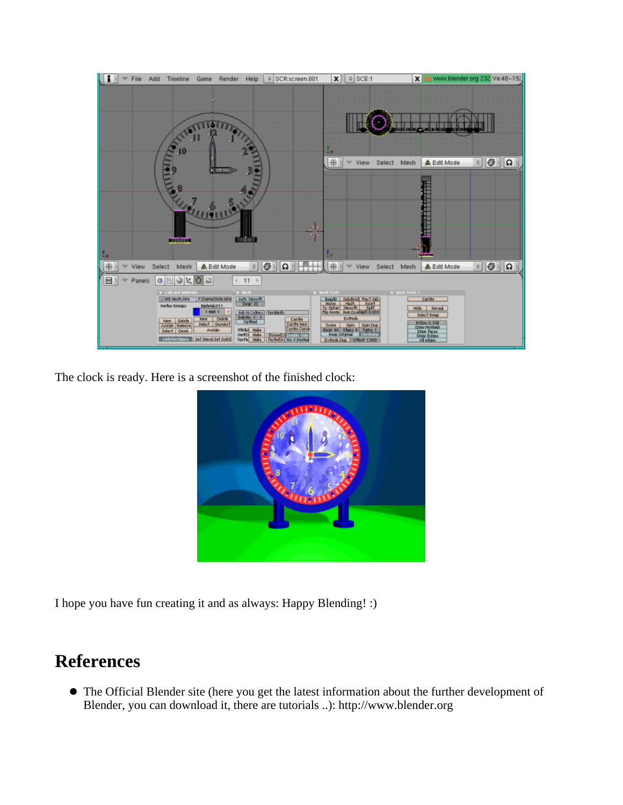

The clock is ready. Here is a screenshot of the finished clock:



I hope you have fun creating it and as always: Happy Blending! :)

### **References**

The Official Blender site (here you get the latest information about the further development of Blender, you can download it, there are tutorials ..): http://www.blender.org